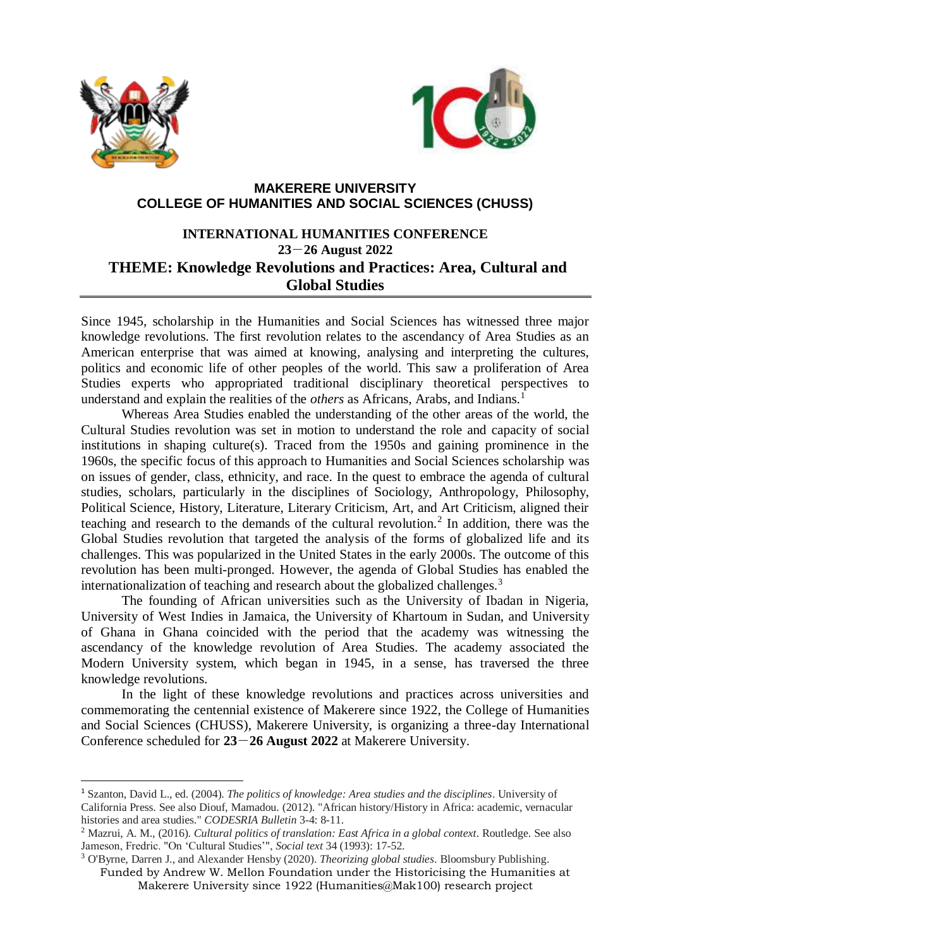

1



## **MAKERERE UNIVERSITY COLLEGE OF HUMANITIES AND SOCIAL SCIENCES (CHUSS)**

# **INTERNATIONAL HUMANITIES CONFERENCE 23**-**26 August 2022 THEME: Knowledge Revolutions and Practices: Area, Cultural and Global Studies**

Since 1945, scholarship in the Humanities and Social Sciences has witnessed three major knowledge revolutions. The first revolution relates to the ascendancy of Area Studies as an American enterprise that was aimed at knowing, analysing and interpreting the cultures, politics and economic life of other peoples of the world. This saw a proliferation of Area Studies experts who appropriated traditional disciplinary theoretical perspectives to understand and explain the realities of the *others* as Africans, Arabs, and Indians.<sup>1</sup>

Whereas Area Studies enabled the understanding of the other areas of the world, the Cultural Studies revolution was set in motion to understand the role and capacity of social institutions in shaping culture(s). Traced from the 1950s and gaining prominence in the 1960s, the specific focus of this approach to Humanities and Social Sciences scholarship was on issues of gender, class, ethnicity, and race. In the quest to embrace the agenda of cultural studies, scholars, particularly in the disciplines of Sociology, Anthropology, Philosophy, Political Science, History, Literature, Literary Criticism, Art, and Art Criticism, aligned their teaching and research to the demands of the cultural revolution.<sup>2</sup> In addition, there was the Global Studies revolution that targeted the analysis of the forms of globalized life and its challenges. This was popularized in the United States in the early 2000s. The outcome of this revolution has been multi-pronged. However, the agenda of Global Studies has enabled the internationalization of teaching and research about the globalized challenges.<sup>3</sup>

The founding of African universities such as the University of Ibadan in Nigeria, University of West Indies in Jamaica, the University of Khartoum in Sudan, and University of Ghana in Ghana coincided with the period that the academy was witnessing the ascendancy of the knowledge revolution of Area Studies. The academy associated the Modern University system, which began in 1945, in a sense, has traversed the three knowledge revolutions.

In the light of these knowledge revolutions and practices across universities and commemorating the centennial existence of Makerere since 1922, the College of Humanities and Social Sciences (CHUSS), Makerere University, is organizing a three-day International Conference scheduled for **23**-**26 August 2022** at Makerere University.

<sup>1</sup> Szanton, David L., ed. (2004). *The politics of knowledge: Area studies and the disciplines*. University of California Press. See also Diouf, Mamadou. (2012). "African history/History in Africa: academic, vernacular histories and area studies." *CODESRIA Bulletin* 3-4: 8-11.

<sup>2</sup> Mazrui, A. M., (2016). *Cultural politics of translation: East Africa in a global context*. Routledge. See also Jameson, Fredric. "On 'Cultural Studies'", *Social text* 34 (1993): 17-52.

Funded by Andrew W. Mellon Foundation under the Historicising the Humanities at Makerere University since 1922 (Humanities@Mak100) research project <sup>3</sup> O'Byrne, Darren J., and Alexander Hensby (2020). *Theorizing global studies*. Bloomsbury Publishing.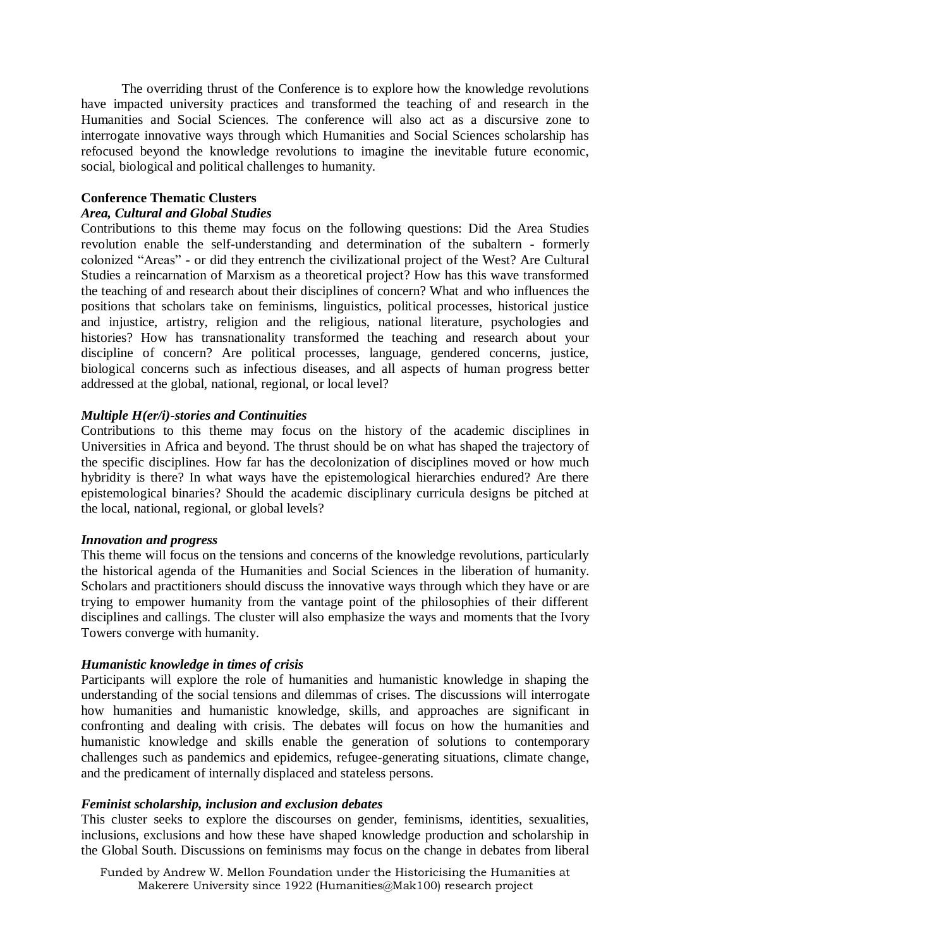The overriding thrust of the Conference is to explore how the knowledge revolutions have impacted university practices and transformed the teaching of and research in the Humanities and Social Sciences. The conference will also act as a discursive zone to interrogate innovative ways through which Humanities and Social Sciences scholarship has refocused beyond the knowledge revolutions to imagine the inevitable future economic, social, biological and political challenges to humanity.

## **Conference Thematic Clusters**

## *Area, Cultural and Global Studies*

Contributions to this theme may focus on the following questions: Did the Area Studies revolution enable the self-understanding and determination of the subaltern - formerly colonized "Areas" - or did they entrench the civilizational project of the West? Are Cultural Studies a reincarnation of Marxism as a theoretical project? How has this wave transformed the teaching of and research about their disciplines of concern? What and who influences the positions that scholars take on feminisms, linguistics, political processes, historical justice and injustice, artistry, religion and the religious, national literature, psychologies and histories? How has transnationality transformed the teaching and research about your discipline of concern? Are political processes, language, gendered concerns, justice, biological concerns such as infectious diseases, and all aspects of human progress better addressed at the global, national, regional, or local level?

## *Multiple H(er/i)-stories and Continuities*

Contributions to this theme may focus on the history of the academic disciplines in Universities in Africa and beyond. The thrust should be on what has shaped the trajectory of the specific disciplines. How far has the decolonization of disciplines moved or how much hybridity is there? In what ways have the epistemological hierarchies endured? Are there epistemological binaries? Should the academic disciplinary curricula designs be pitched at the local, national, regional, or global levels?

#### *Innovation and progress*

This theme will focus on the tensions and concerns of the knowledge revolutions, particularly the historical agenda of the Humanities and Social Sciences in the liberation of humanity. Scholars and practitioners should discuss the innovative ways through which they have or are trying to empower humanity from the vantage point of the philosophies of their different disciplines and callings. The cluster will also emphasize the ways and moments that the Ivory Towers converge with humanity.

## *Humanistic knowledge in times of crisis*

Participants will explore the role of humanities and humanistic knowledge in shaping the understanding of the social tensions and dilemmas of crises. The discussions will interrogate how humanities and humanistic knowledge, skills, and approaches are significant in confronting and dealing with crisis. The debates will focus on how the humanities and humanistic knowledge and skills enable the generation of solutions to contemporary challenges such as pandemics and epidemics, refugee-generating situations, climate change, and the predicament of internally displaced and stateless persons.

## *Feminist scholarship, inclusion and exclusion debates*

This cluster seeks to explore the discourses on gender, feminisms, identities, sexualities, inclusions, exclusions and how these have shaped knowledge production and scholarship in the Global South. Discussions on feminisms may focus on the change in debates from liberal

Funded by Andrew W. Mellon Foundation under the Historicising the Humanities at Makerere University since 1922 (Humanities@Mak100) research project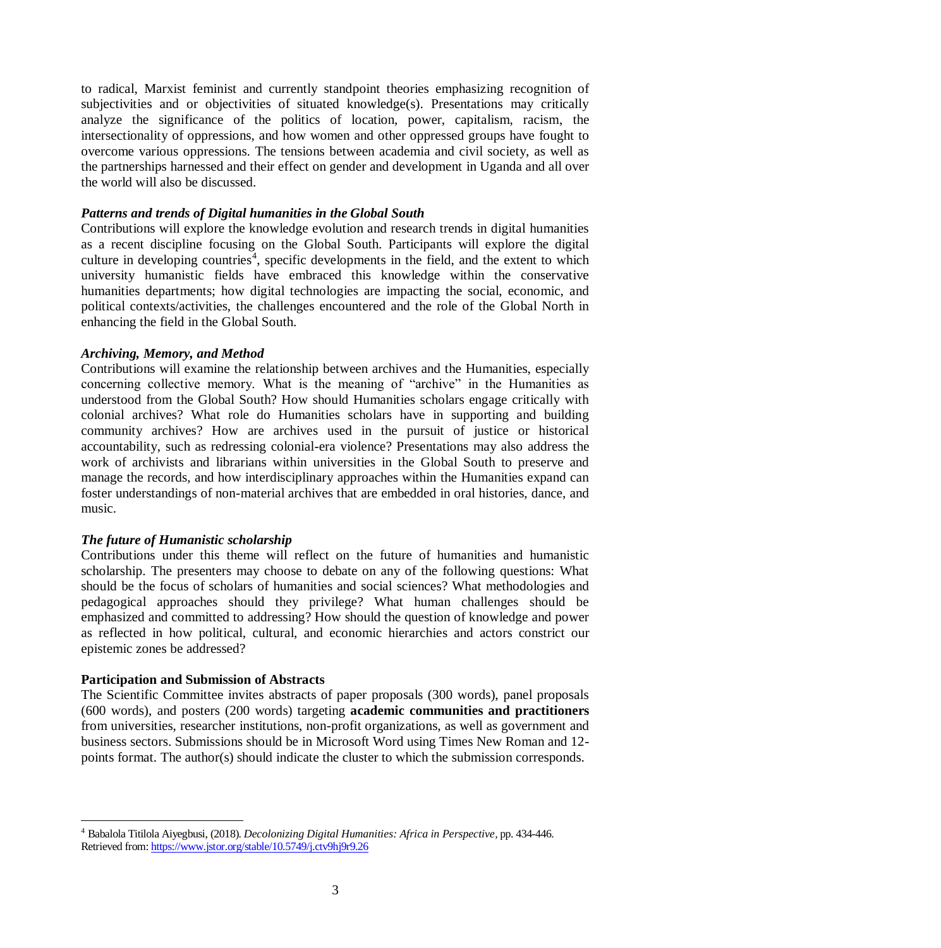to radical, Marxist feminist and currently standpoint theories emphasizing recognition of subjectivities and or objectivities of situated knowledge(s). Presentations may critically analyze the significance of the politics of location, power, capitalism, racism, the intersectionality of oppressions, and how women and other oppressed groups have fought to overcome various oppressions. The tensions between academia and civil society, as well as the partnerships harnessed and their effect on gender and development in Uganda and all over the world will also be discussed.

### *Patterns and trends of Digital humanities in the Global South*

Contributions will explore the knowledge evolution and research trends in digital humanities as a recent discipline focusing on the Global South. Participants will explore the digital culture in developing countries<sup>4</sup>, specific developments in the field, and the extent to which university humanistic fields have embraced this knowledge within the conservative humanities departments; how digital technologies are impacting the social, economic, and political contexts/activities, the challenges encountered and the role of the Global North in enhancing the field in the Global South.

### *Archiving, Memory, and Method*

Contributions will examine the relationship between archives and the Humanities, especially concerning collective memory. What is the meaning of "archive" in the Humanities as understood from the Global South? How should Humanities scholars engage critically with colonial archives? What role do Humanities scholars have in supporting and building community archives? How are archives used in the pursuit of justice or historical accountability, such as redressing colonial-era violence? Presentations may also address the work of archivists and librarians within universities in the Global South to preserve and manage the records, and how interdisciplinary approaches within the Humanities expand can foster understandings of non-material archives that are embedded in oral histories, dance, and music.

## *The future of Humanistic scholarship*

Contributions under this theme will reflect on the future of humanities and humanistic scholarship. The presenters may choose to debate on any of the following questions: What should be the focus of scholars of humanities and social sciences? What methodologies and pedagogical approaches should they privilege? What human challenges should be emphasized and committed to addressing? How should the question of knowledge and power as reflected in how political, cultural, and economic hierarchies and actors constrict our epistemic zones be addressed?

#### **Participation and Submission of Abstracts**

<u>.</u>

The Scientific Committee invites abstracts of paper proposals (300 words), panel proposals (600 words), and posters (200 words) targeting **academic communities and practitioners** from universities, researcher institutions, non-profit organizations, as well as government and business sectors. Submissions should be in Microsoft Word using Times New Roman and 12 points format. The author(s) should indicate the cluster to which the submission corresponds.

<sup>4</sup> Babalola Titilola Aiyegbusi, (2018). *Decolonizing Digital Humanities: Africa in Perspective,* pp. 434-446. Retrieved from[: https://www.jstor.org/stable/10.5749/j.ctv9hj9r9.26](https://www.jstor.org/stable/10.5749/j.ctv9hj9r9.26)